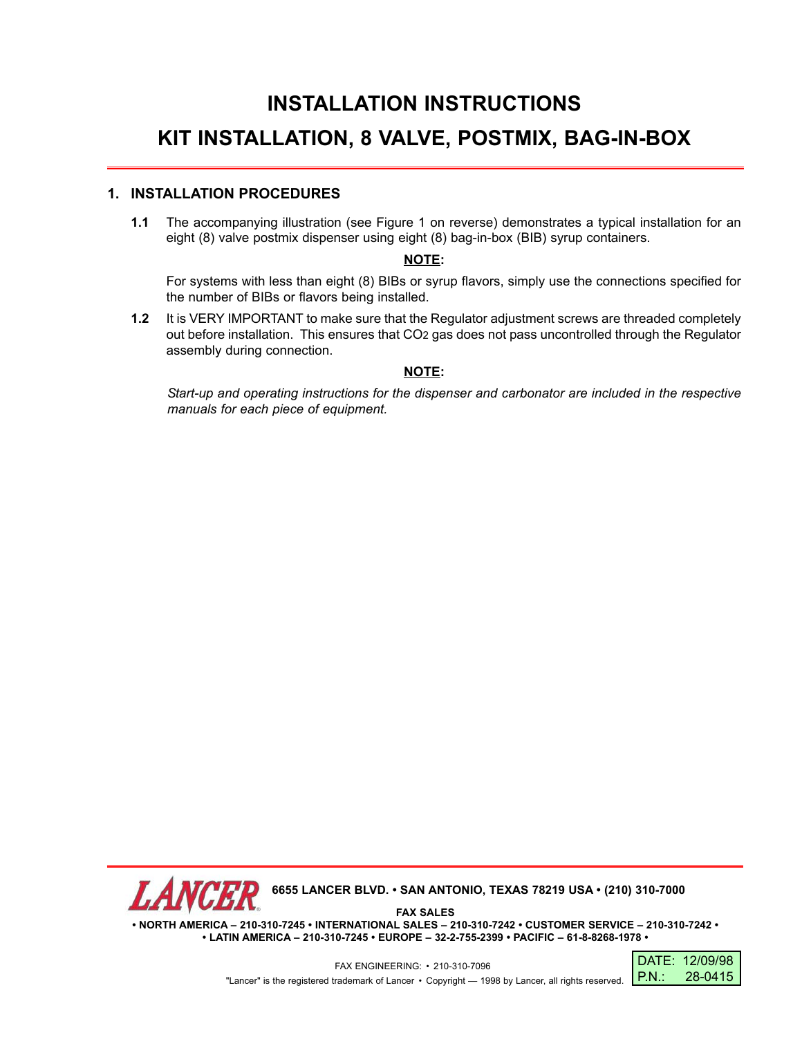## **INSTALLATION INSTRUCTIONS KIT INSTALLATION, 8 VALVE, POSTMIX, BAG-IN-BOX**

## **1. INSTALLATION PROCEDURES**

**1.1** The accompanying illustration (see Figure 1 on reverse) demonstrates a typical installation for an eight (8) valve postmix dispenser using eight (8) bag-in-box (BIB) syrup containers.

## **NOTE:**

For systems with less than eight (8) BIBs or syrup flavors, simply use the connections specified for the number of BIBs or flavors being installed.

**1.2** It is VERY IMPORTANT to make sure that the Regulator adjustment screws are threaded completely out before installation. This ensures that CO2 gas does not pass uncontrolled through the Regulator assembly during connection.

## **NOTE:**

*Start-up and operating instructions for the dispenser and carbonator are included in the respective manuals for each piece of equipment.*



**• NORTH AMERICA – 210-310-7245 • INTERNATIONAL SALES – 210-310-7242 • CUSTOMER SERVICE – 210-310-7242 • • LATIN AMERICA – 210-310-7245 • EUROPE – 32-2-755-2399 • PACIFIC – 61-8-8268-1978 •**

> FAX ENGINEERING: • 210-310-7096 "Lancer" is the registered trademark of Lancer • Copyright — 1998 by Lancer, all rights reserved. **P.N.:**